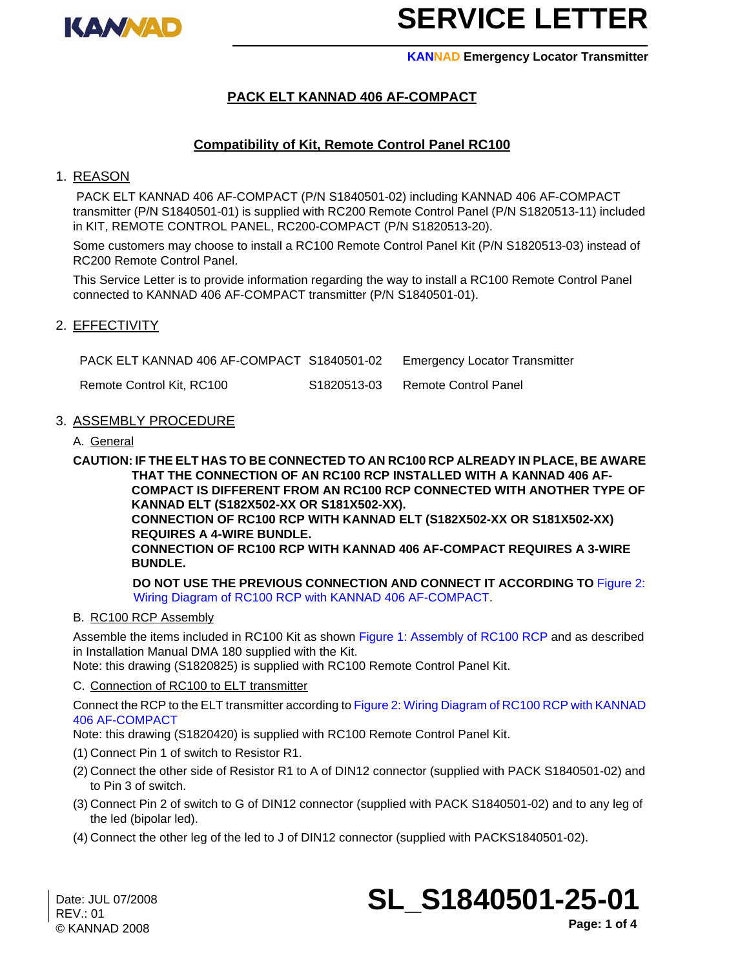

**KANNAD Emergency Locator Transmitter**

## **PACK ELT KANNAD 406 AF-COMPACT**

## **Compatibility of Kit, Remote Control Panel RC100**

#### 1. REASON

 PACK ELT KANNAD 406 AF-COMPACT (P/N S1840501-02) including KANNAD 406 AF-COMPACT transmitter (P/N S1840501-01) is supplied with RC200 Remote Control Panel (P/N S1820513-11) included in KIT, REMOTE CONTROL PANEL, RC200-COMPACT (P/N S1820513-20).

Some customers may choose to install a RC100 Remote Control Panel Kit (P/N S1820513-03) instead of RC200 Remote Control Panel.

This Service Letter is to provide information regarding the way to install a RC100 Remote Control Panel connected to KANNAD 406 AF-COMPACT transmitter (P/N S1840501-01).

### 2. EFFECTIVITY

PACK ELT KANNAD 406 AF-COMPACT S1840501-02 Emergency Locator Transmitter Remote Control Kit, RC100 S1820513-03 Remote Control Panel

#### 3. ASSEMBLY PROCEDURE

A. General

**CAUTION: IF THE ELT HAS TO BE CONNECTED TO AN RC100 RCP ALREADY IN PLACE, BE AWARE THAT THE CONNECTION OF AN RC100 RCP INSTALLED WITH A KANNAD 406 AF-COMPACT IS DIFFERENT FROM AN RC100 RCP CONNECTED WITH ANOTHER TYPE OF KANNAD ELT (S182X502-XX OR S181X502-XX).**

**CONNECTION OF RC100 RCP WITH KANNAD ELT (S182X502-XX OR S181X502-XX) REQUIRES A 4-WIRE BUNDLE.**

**CONNECTION OF RC100 RCP WITH KANNAD 406 AF-COMPACT REQUIRES A 3-WIRE BUNDLE.**

**DO NOT USE THE PREVIOUS CONNECTION AND CONNECT IT ACCORDING TO** [Figure 2:](#page-2-0)  [Wiring Diagram of RC100 RCP with KANNAD 406 AF-COMPACT](#page-2-0).

#### B. RC100 RCP Assembly

Assemble the items included in RC100 Kit as shown [Figure 1: Assembly of RC100 RCP](#page-1-0) and as described in Installation Manual DMA 180 supplied with the Kit.

Note: this drawing (S1820825) is supplied with RC100 Remote Control Panel Kit.

#### C. Connection of RC100 to ELT transmitter

Connect the RCP to the ELT transmitter according to [Figure 2: Wiring Diagram of RC100 RCP with KANNAD](#page-2-0)  [406 AF-COMPACT](#page-2-0)

Note: this drawing (S1820420) is supplied with RC100 Remote Control Panel Kit.

- (1) Connect Pin 1 of switch to Resistor R1.
- (2) Connect the other side of Resistor R1 to A of DIN12 connector (supplied with PACK S1840501-02) and to Pin 3 of switch.
- (3) Connect Pin 2 of switch to G of DIN12 connector (supplied with PACK S1840501-02) and to any leg of the led (bipolar led).
- (4) Connect the other leg of the led to J of DIN12 connector (supplied with PACKS1840501-02).

**SL\_S1840501-25-01**

**Page: 1 of 4**

Date: JUL 07/2008 REV.: 01 © KANNAD 2008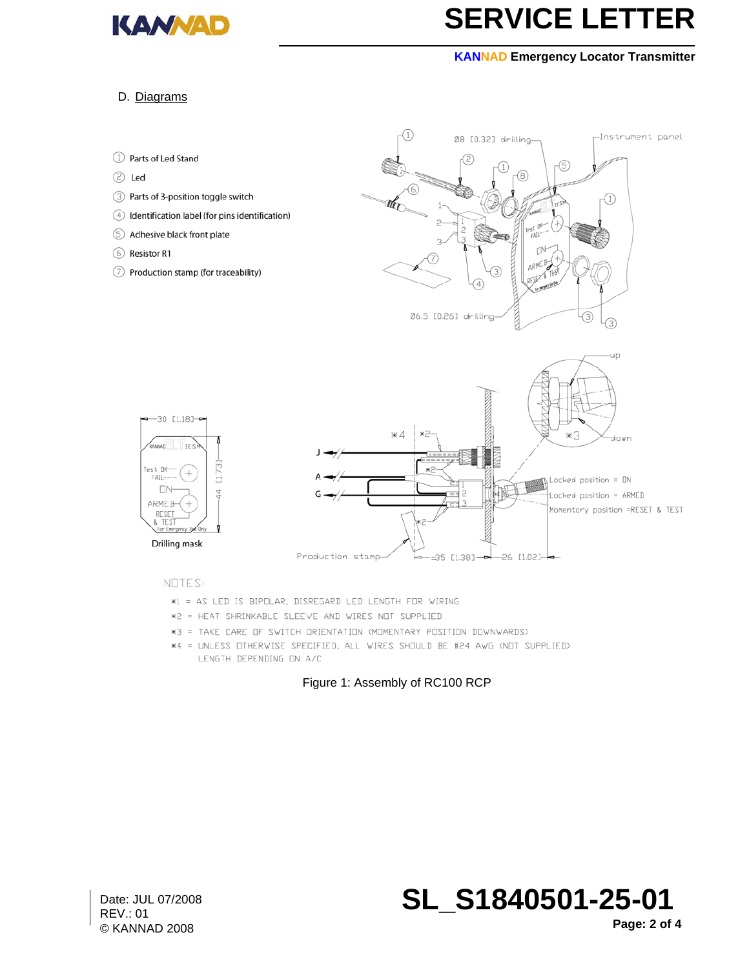

#### **KANNAD Emergency Locator Transmitter**

#### D. Diagrams



#### NOTES:

- \*1 = AS LED IS BIPOLAR, DISREGARD LED LENGTH FOR WIRING
- \*2 = HEAT SHRINKABLE SLEEVE AND WIRES NOT SUPPLIED
- \*3 = TAKE CARE OF SWITCH ORIENTATION (MOMENTARY POSITION DOWNWARDS)
- <span id="page-1-0"></span>\*4 = UNLESS OTHERWISE SPECIFIED, ALL WIRES SHOULD BE #24 AWG (NOT SUPPLIED) LENGTH DEPENDING ON A/C

#### Figure 1: Assembly of RC100 RCP

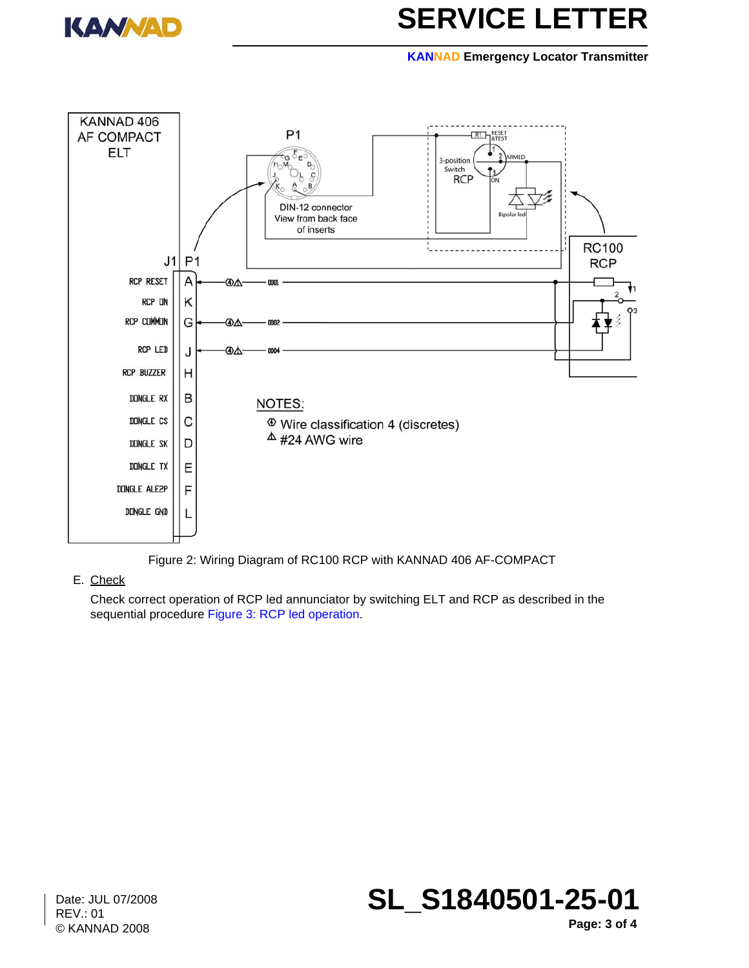

#### **KANNAD Emergency Locator Transmitter**



Figure 2: Wiring Diagram of RC100 RCP with KANNAD 406 AF-COMPACT

### <span id="page-2-0"></span>E. Check

Check correct operation of RCP led annunciator by switching ELT and RCP as described in the sequential procedure [Figure 3: RCP led operation.](#page-3-0)

Date: JUL 07/2008 REV.: 01 © KANNAD 2008



**Page: 3 of 4**